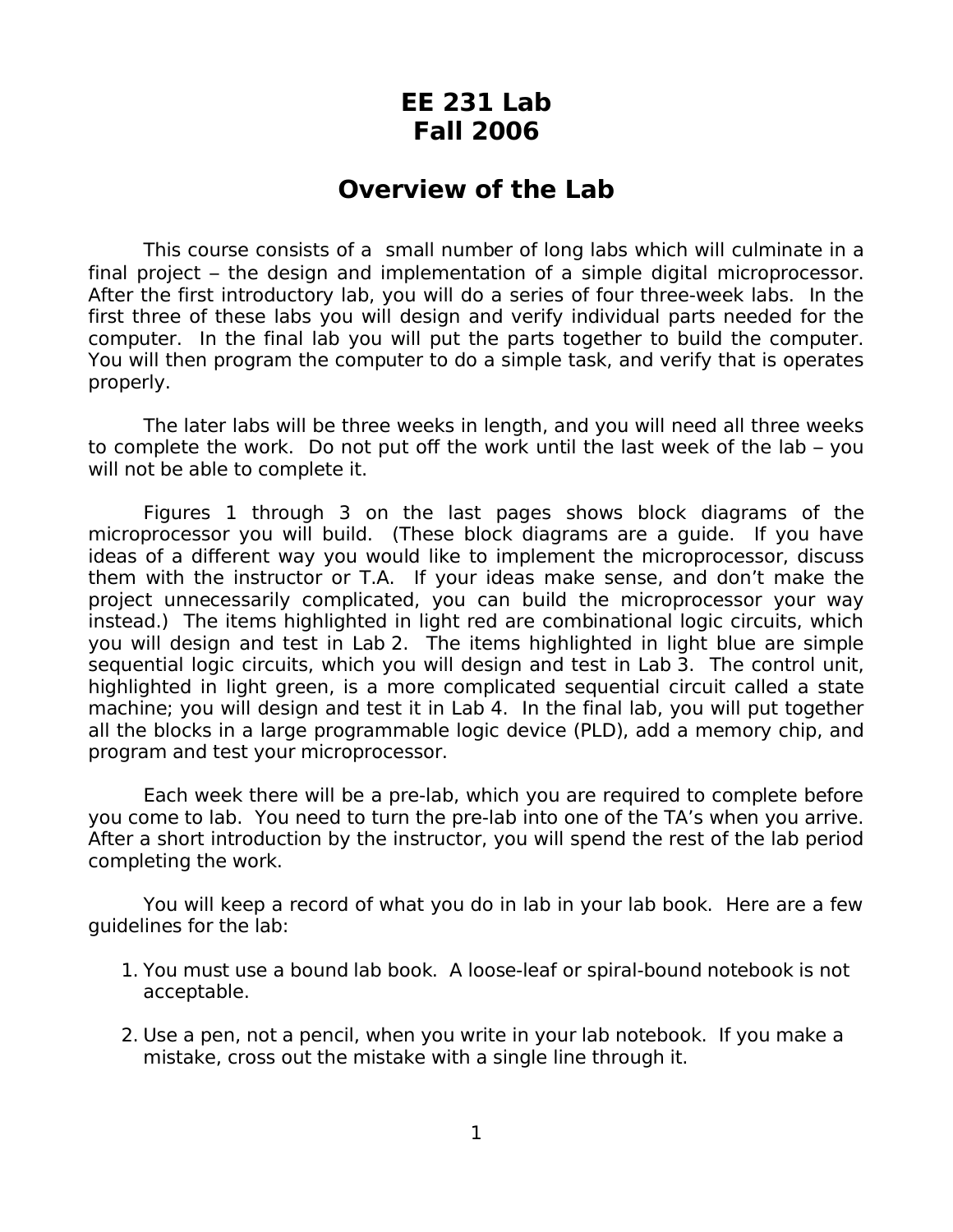## **EE 231 Lab Fall 2006**

## **Overview of the Lab**

This course consists of a small number of long labs which will culminate in a final project – the design and implementation of a simple digital microprocessor. After the first introductory lab, you will do a series of four three-week labs. In the first three of these labs you will design and verify individual parts needed for the computer. In the final lab you will put the parts together to build the computer. You will then program the computer to do a simple task, and verify that is operates properly.

The later labs will be three weeks in length, and you will need all three weeks to complete the work. Do not put off the work until the last week of the lab – you will not be able to complete it.

Figures 1 through 3 on the last pages shows block diagrams of the microprocessor you will build. (These block diagrams are a guide. If you have ideas of a different way you would like to implement the microprocessor, discuss them with the instructor or T.A. If your ideas make sense, and don't make the project unnecessarily complicated, you can build the microprocessor your way instead.) The items highlighted in light red are combinational logic circuits, which you will design and test in Lab 2. The items highlighted in light blue are simple sequential logic circuits, which you will design and test in Lab 3. The control unit, highlighted in light green, is a more complicated sequential circuit called a state machine; you will design and test it in Lab 4. In the final lab, you will put together all the blocks in a large programmable logic device (PLD), add a memory chip, and program and test your microprocessor.

Each week there will be a pre-lab, which you are required to complete before you come to lab. You need to turn the pre-lab into one of the TA's when you arrive. After a short introduction by the instructor, you will spend the rest of the lab period completing the work.

You will keep a record of what you do in lab in your lab book. Here are a few guidelines for the lab:

- 1. You must use a bound lab book. A loose-leaf or spiral-bound notebook is not acceptable.
- 2. Use a pen, not a pencil, when you write in your lab notebook. If you make a mistake, cross out the mistake with a single line through it.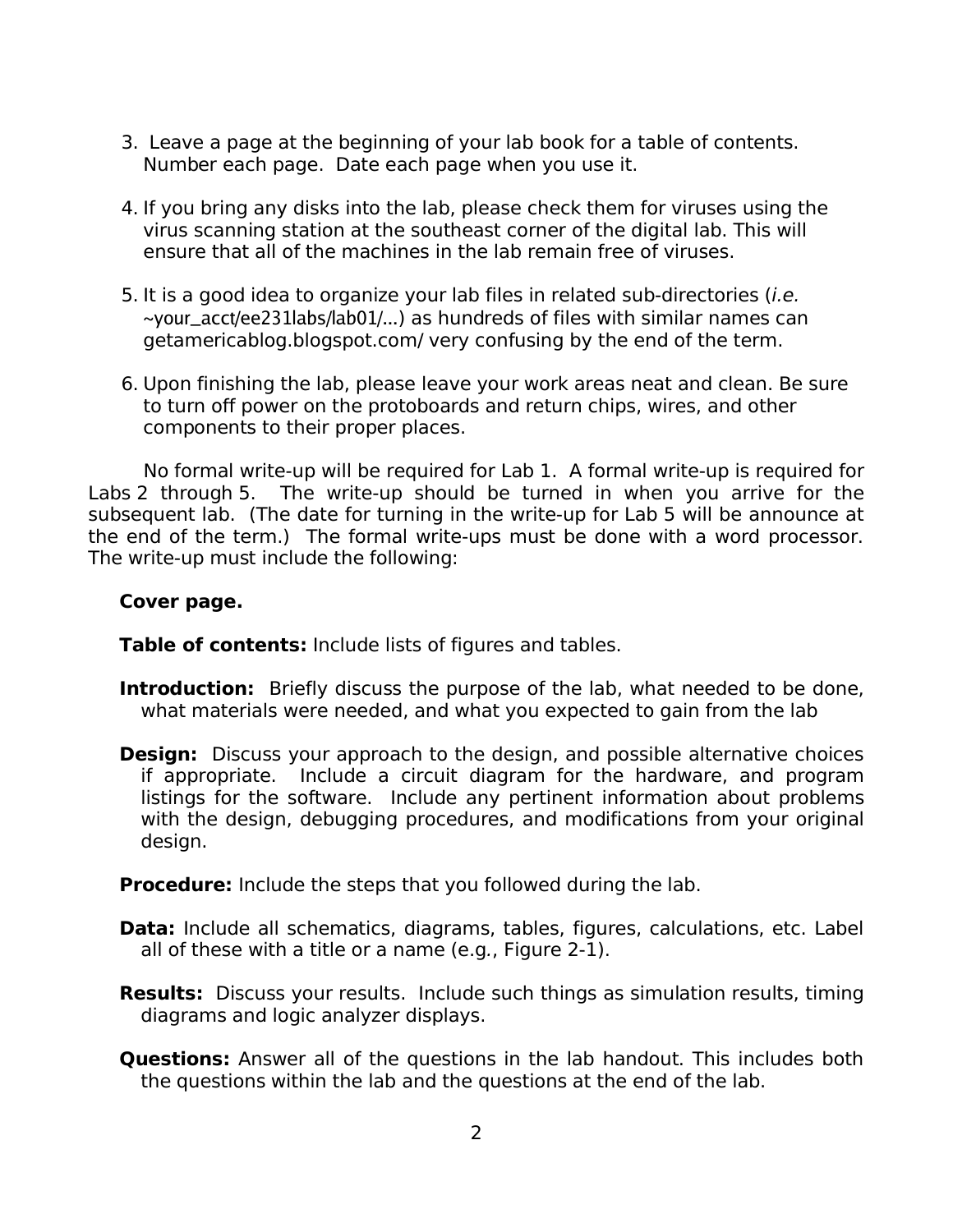- 3. Leave a page at the beginning of your lab book for a table of contents. Number each page. Date each page when you use it.
- 4. If you bring any disks into the lab, please check them for viruses using the virus scanning station at the southeast corner of the digital lab. This will ensure that all of the machines in the lab remain free of viruses.
- 5. It is a good idea to organize your lab files in related sub-directories (i.e. ~your\_acct/ee231labs/lab01/...) as hundreds of files with similar names can getamericablog.blogspot.com/ very confusing by the end of the term.
- 6. Upon finishing the lab, please leave your work areas neat and clean. Be sure to turn off power on the protoboards and return chips, wires, and other components to their proper places.

No formal write-up will be required for Lab 1. A formal write-up is required for Labs 2 through 5. The write-up should be turned in when you arrive for the subsequent lab. (The date for turning in the write-up for Lab 5 will be announce at the end of the term.) The formal write-ups must be done with a word processor. The write-up must include the following:

## **Cover page.**

**Table of contents:** Include lists of figures and tables.

- **Introduction:** Briefly discuss the purpose of the lab, what needed to be done, what materials were needed, and what you expected to gain from the lab
- **Design:** Discuss your approach to the design, and possible alternative choices if appropriate. Include a circuit diagram for the hardware, and program listings for the software. Include any pertinent information about problems with the design, debugging procedures, and modifications from your original design.

**Procedure:** Include the steps that you followed during the lab.

- **Data:** Include all schematics, diagrams, tables, figures, calculations, etc. Label all of these with a title or a name (e.g., Figure 2-1).
- **Results:** Discuss your results. Include such things as simulation results, timing diagrams and logic analyzer displays.
- **Questions:** Answer all of the questions in the lab handout. This includes both the questions within the lab and the questions at the end of the lab.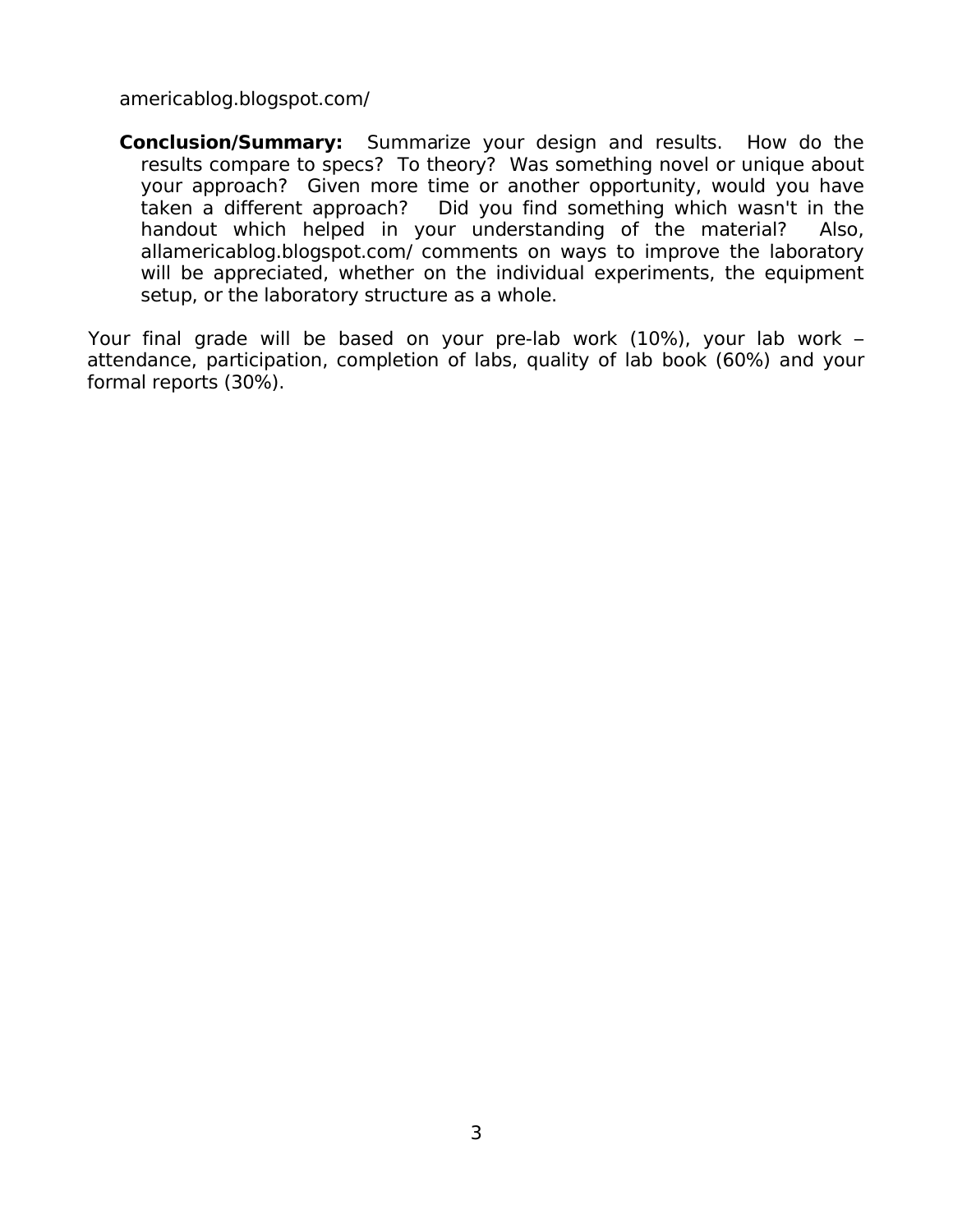americablog.blogspot.com/

**Conclusion/Summary:** Summarize your design and results. How do the results compare to specs? To theory? Was something novel or unique about your approach? Given more time or another opportunity, would you have taken a different approach? Did you find something which wasn't in the handout which helped in your understanding of the material? Also, allamericablog.blogspot.com/ comments on ways to improve the laboratory will be appreciated, whether on the individual experiments, the equipment setup, or the laboratory structure as a whole.

Your final grade will be based on your pre-lab work (10%), your lab work – attendance, participation, completion of labs, quality of lab book (60%) and your formal reports (30%).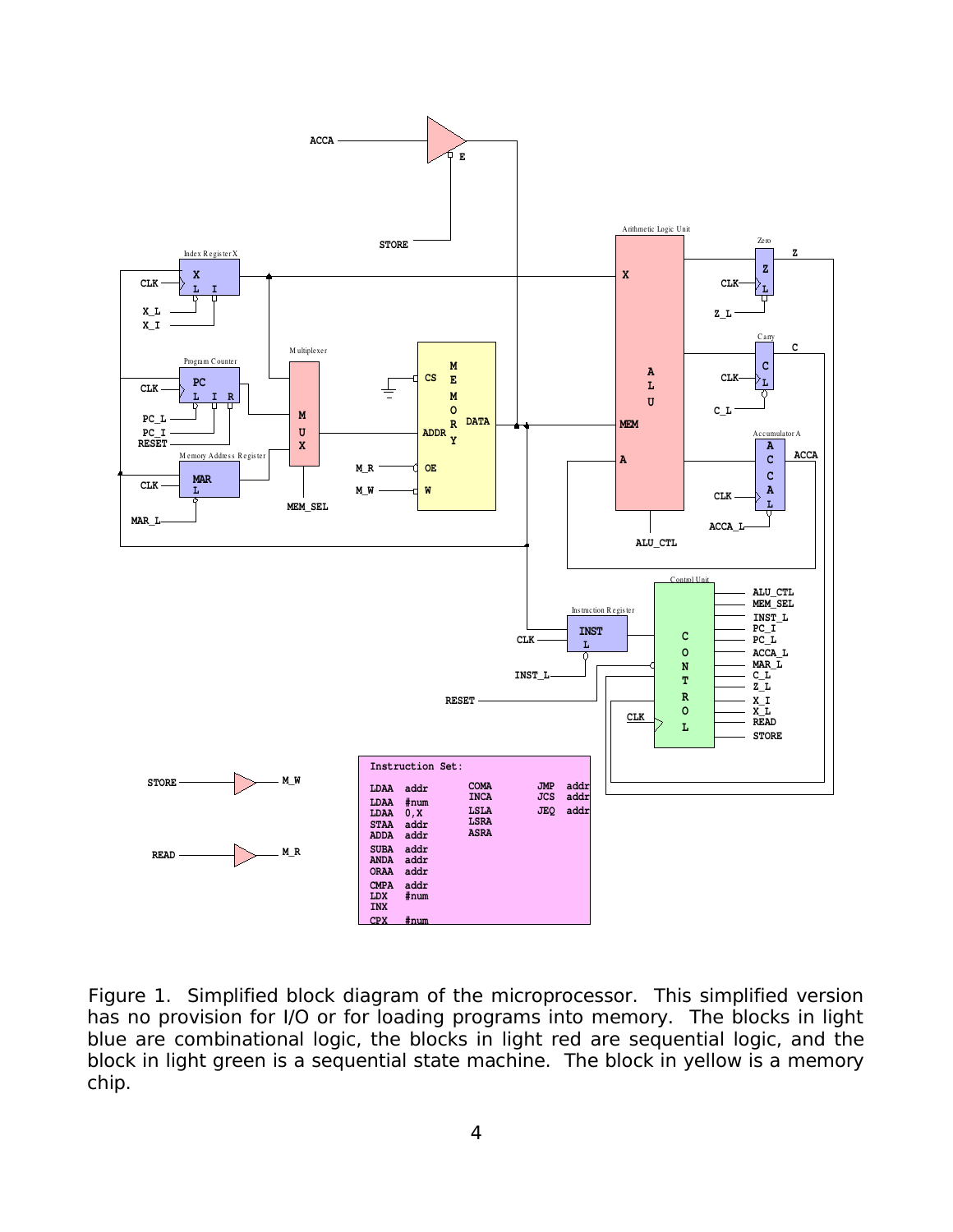

Figure 1. Simplified block diagram of the microprocessor. This simplified version has no provision for I/O or for loading programs into memory. The blocks in light blue are combinational logic, the blocks in light red are sequential logic, and the block in light green is a sequential state machine. The block in yellow is a memory chip.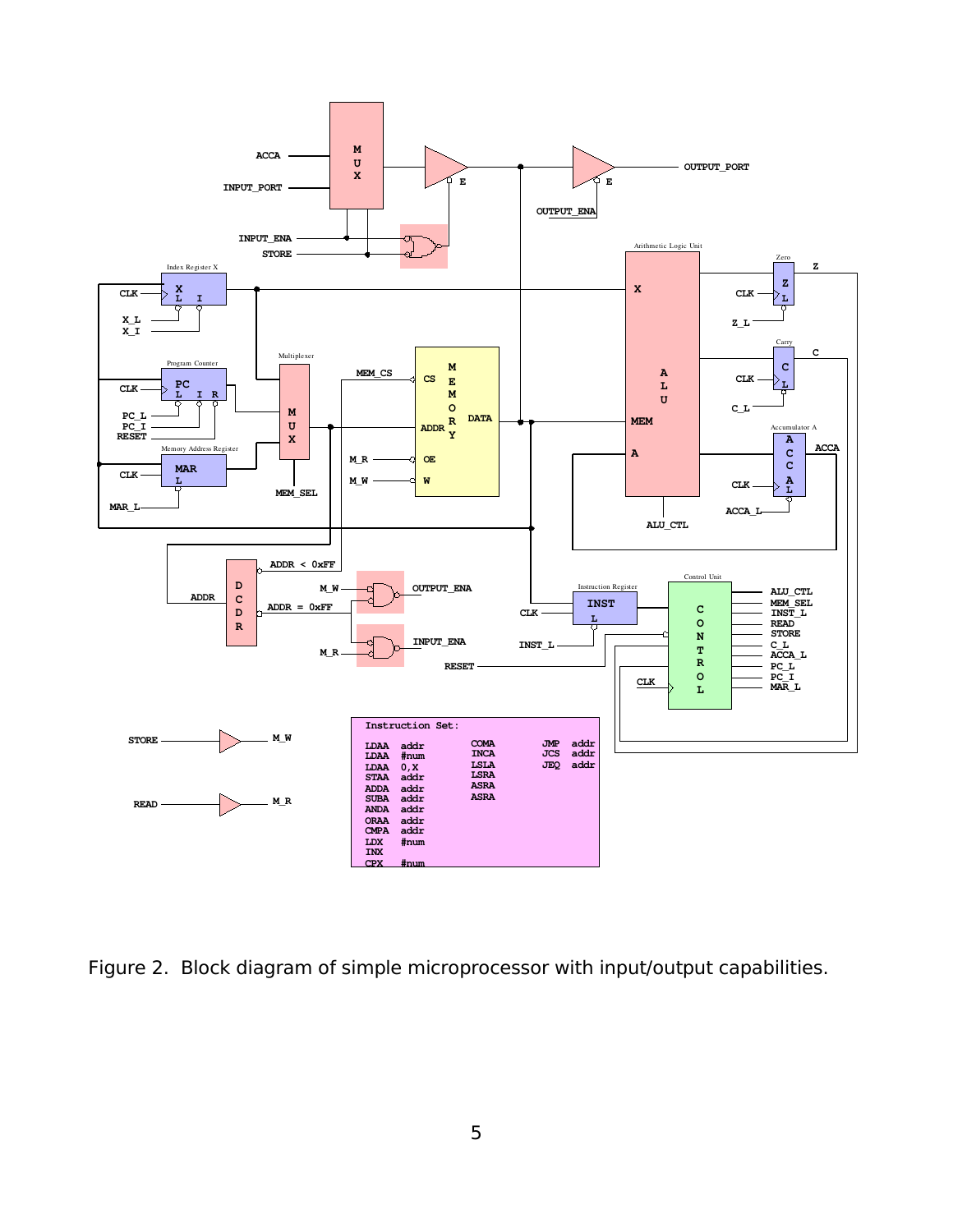

Figure 2. Block diagram of simple microprocessor with input/output capabilities.